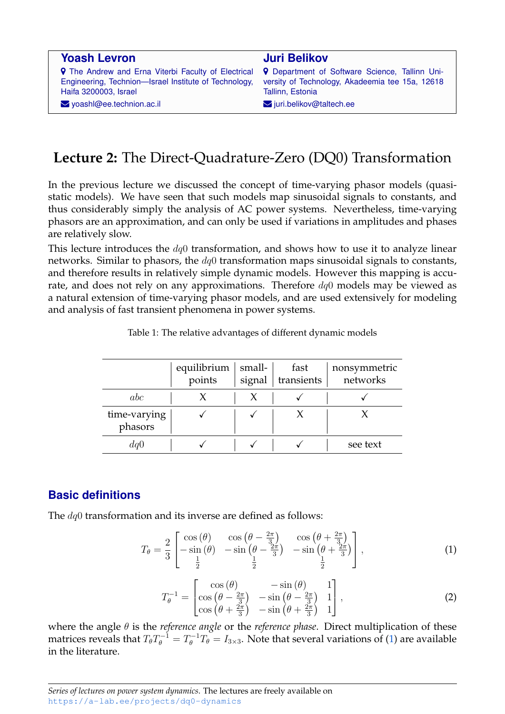| <b>Yoash Levron</b>                                        | <b>Juri Belikov</b>                                   |
|------------------------------------------------------------|-------------------------------------------------------|
| <b>9</b> The Andrew and Erna Viterbi Faculty of Electrical | <b>9</b> Department of Software Science, Tallinn Uni- |
| Engineering, Technion-Israel Institute of Technology,      | versity of Technology, Akadeemia tee 15a, 12618       |
| Haifa 3200003, Israel                                      | Tallinn, Estonia                                      |
| $\blacktriangleright$ yoashl@ee.technion.ac.il             | $\blacktriangleright$ juri.belikov@taltech.ee         |

# **Lecture 2:** The Direct-Quadrature-Zero (DQ0) Transformation

In the previous lecture we discussed the concept of time-varying phasor models (quasistatic models). We have seen that such models map sinusoidal signals to constants, and thus considerably simply the analysis of AC power systems. Nevertheless, time-varying phasors are an approximation, and can only be used if variations in amplitudes and phases are relatively slow.

This lecture introduces the  $dq0$  transformation, and shows how to use it to analyze linear networks. Similar to phasors, the  $dq0$  transformation maps sinusoidal signals to constants, and therefore results in relatively simple dynamic models. However this mapping is accurate, and does not rely on any approximations. Therefore  $dq0$  models may be viewed as a natural extension of time-varying phasor models, and are used extensively for modeling and analysis of fast transient phenomena in power systems.

|                         | equilibrium<br>points | small-<br>signal | fast<br>transients | nonsymmetric<br>networks |
|-------------------------|-----------------------|------------------|--------------------|--------------------------|
| abc                     |                       |                  |                    |                          |
| time-varying<br>phasors |                       |                  |                    |                          |
| dql                     |                       |                  |                    | see text                 |

Table 1: The relative advantages of different dynamic models

# **Basic definitions**

The  $dq0$  transformation and its inverse are defined as follows:

<span id="page-0-0"></span>
$$
T_{\theta} = \frac{2}{3} \begin{bmatrix} \cos(\theta) & \cos(\theta - \frac{2\pi}{3}) & \cos(\theta + \frac{2\pi}{3})\\ -\sin(\theta) & -\sin(\theta - \frac{2\pi}{3}) & -\sin(\theta + \frac{2\pi}{3})\\ \frac{1}{2} & \frac{1}{2} & \frac{1}{2} \end{bmatrix},
$$
(1)

<span id="page-0-1"></span>
$$
T_{\theta}^{-1} = \begin{bmatrix} \cos\left(\theta\right) & -\sin\left(\theta\right) & 1\\ \cos\left(\theta - \frac{2\pi}{3}\right) & -\sin\left(\theta - \frac{2\pi}{3}\right) & 1\\ \cos\left(\theta + \frac{2\pi}{3}\right) & -\sin\left(\theta + \frac{2\pi}{3}\right) & 1 \end{bmatrix},\tag{2}
$$

where the angle θ is the *reference angle* or the *reference phase*. Direct multiplication of these matrices reveals that  $T_{\theta}T_{\theta}^{-1}=T_{\theta}^{-1}T_{\theta}=I_{3\times 3}.$  Note that several variations of [\(1\)](#page-0-0) are available in the literature.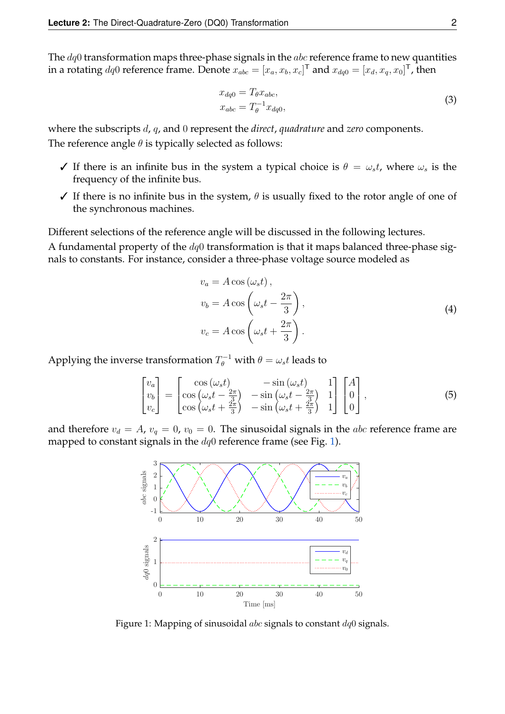The  $dq0$  transformation maps three-phase signals in the  $abc$  reference frame to new quantities in a rotating  $dq0$  reference frame. Denote  $x_{abc} = [x_a, x_b, x_c]^\mathsf{T}$  and  $x_{dq0} = [x_d, x_q, x_0]^\mathsf{T}$ , then

$$
x_{dq0} = T_{\theta} x_{abc},
$$
  
\n
$$
x_{abc} = T_{\theta}^{-1} x_{dq0},
$$
\n(3)

where the subscripts d, q, and 0 represent the *direct*, *quadrature* and *zero* components. The reference angle  $\theta$  is typically selected as follows:

- $\checkmark$  If there is an infinite bus in the system a typical choice is  $\theta = \omega_s t$ , where  $\omega_s$  is the frequency of the infinite bus.
- $\checkmark$  If there is no infinite bus in the system,  $\theta$  is usually fixed to the rotor angle of one of the synchronous machines.

Different selections of the reference angle will be discussed in the following lectures. A fundamental property of the  $dq0$  transformation is that it maps balanced three-phase signals to constants. For instance, consider a three-phase voltage source modeled as

$$
v_a = A \cos(\omega_s t),
$$
  
\n
$$
v_b = A \cos\left(\omega_s t - \frac{2\pi}{3}\right),
$$
  
\n
$$
v_c = A \cos\left(\omega_s t + \frac{2\pi}{3}\right).
$$
\n(4)

Applying the inverse transformation  $T_{\theta}^{-1}$  with  $\theta = \omega_s t$  leads to

$$
\begin{bmatrix} v_a \\ v_b \\ v_c \end{bmatrix} = \begin{bmatrix} \cos(\omega_s t) & -\sin(\omega_s t) & 1 \\ \cos(\omega_s t - \frac{2\pi}{3}) & -\sin(\omega_s t - \frac{2\pi}{3}) & 1 \\ \cos(\omega_s t + \frac{2\pi}{3}) & -\sin(\omega_s t + \frac{2\pi}{3}) & 1 \end{bmatrix} \begin{bmatrix} A \\ 0 \\ 0 \end{bmatrix},
$$
\n(5)

<span id="page-1-0"></span>and therefore  $v_d = A$ ,  $v_q = 0$ ,  $v_0 = 0$ . The sinusoidal signals in the *abc* reference frame are mapped to constant signals in the  $dq0$  reference frame (see Fig. [1\)](#page-1-0).



Figure 1: Mapping of sinusoidal *abc* signals to constant  $dq0$  signals.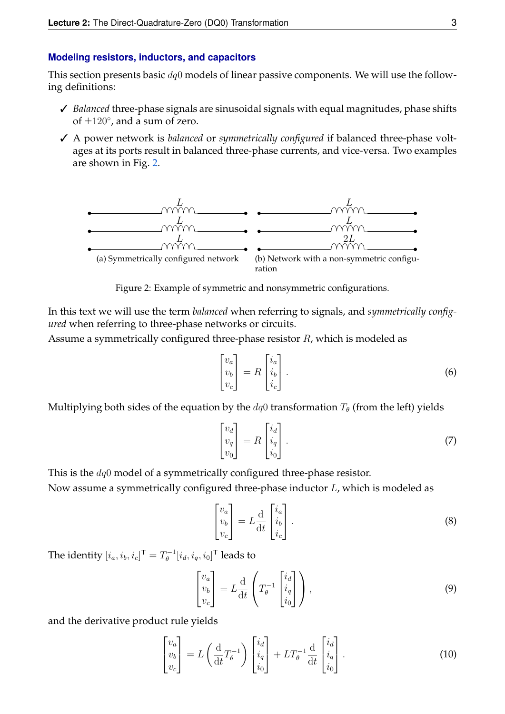#### **Modeling resistors, inductors, and capacitors**

This section presents basic  $dq0$  models of linear passive components. We will use the following definitions:

- ✓ *Balanced* three-phase signals are sinusoidal signals with equal magnitudes, phase shifts of  $\pm 120^\circ$ , and a sum of zero.
- ✓ A power network is *balanced* or *symmetrically configured* if balanced three-phase voltages at its ports result in balanced three-phase currents, and vice-versa. Two examples are shown in Fig. [2.](#page-2-0)

<span id="page-2-0"></span>

Figure 2: Example of symmetric and nonsymmetric configurations.

In this text we will use the term *balanced* when referring to signals, and *symmetrically configured* when referring to three-phase networks or circuits.

Assume a symmetrically configured three-phase resistor R, which is modeled as

$$
\begin{bmatrix} v_a \\ v_b \\ v_c \end{bmatrix} = R \begin{bmatrix} i_a \\ i_b \\ i_c \end{bmatrix} . \tag{6}
$$

Multiplying both sides of the equation by the  $dq0$  transformation  $T_{\theta}$  (from the left) yields

$$
\begin{bmatrix} v_d \\ v_q \\ v_0 \end{bmatrix} = R \begin{bmatrix} i_d \\ i_q \\ i_0 \end{bmatrix} . \tag{7}
$$

This is the dq0 model of a symmetrically configured three-phase resistor.

Now assume a symmetrically configured three-phase inductor L, which is modeled as

$$
\begin{bmatrix} v_a \\ v_b \\ v_c \end{bmatrix} = L \frac{d}{dt} \begin{bmatrix} i_a \\ i_b \\ i_c \end{bmatrix} . \tag{8}
$$

The identity  $[i_a,i_b,i_c]^{\mathsf{T}}=T_{\theta}^{-1}$  $\hat{\theta}^{-1}[i_d,i_q,i_0]^{\mathsf{T}}$  leads to

$$
\begin{bmatrix} v_a \\ v_b \\ v_c \end{bmatrix} = L \frac{d}{dt} \left( T_\theta^{-1} \begin{bmatrix} i_d \\ i_q \\ i_0 \end{bmatrix} \right), \tag{9}
$$

and the derivative product rule yields

<span id="page-2-1"></span>
$$
\begin{bmatrix} v_a \\ v_b \\ v_c \end{bmatrix} = L \left( \frac{d}{dt} T_{\theta}^{-1} \right) \begin{bmatrix} i_d \\ i_q \\ i_0 \end{bmatrix} + LT_{\theta}^{-1} \frac{d}{dt} \begin{bmatrix} i_d \\ i_q \\ i_0 \end{bmatrix} . \tag{10}
$$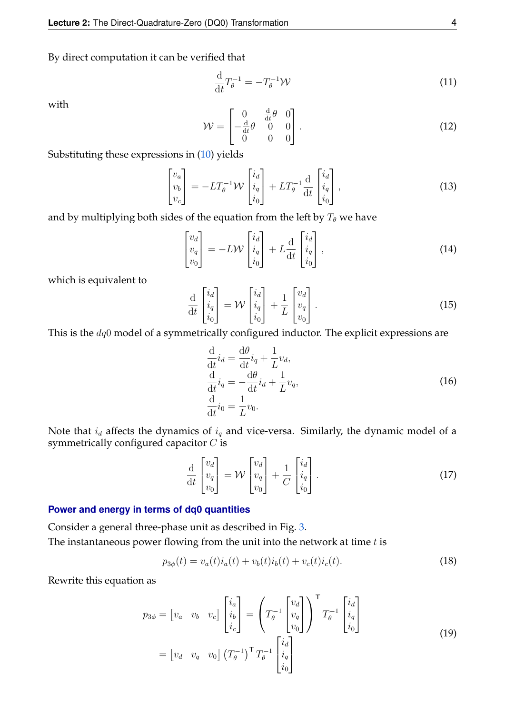By direct computation it can be verified that

$$
\frac{\mathrm{d}}{\mathrm{d}t}T_{\theta}^{-1} = -T_{\theta}^{-1}\mathcal{W} \tag{11}
$$

with

$$
\mathcal{W} = \begin{bmatrix} 0 & \frac{d}{dt}\theta & 0 \\ -\frac{d}{dt}\theta & 0 & 0 \\ 0 & 0 & 0 \end{bmatrix}.
$$
 (12)

Substituting these expressions in [\(10\)](#page-2-1) yields

$$
\begin{bmatrix} v_a \\ v_b \\ v_c \end{bmatrix} = -LT_\theta^{-1} \mathcal{W} \begin{bmatrix} i_d \\ i_q \\ i_0 \end{bmatrix} + LT_\theta^{-1} \frac{d}{dt} \begin{bmatrix} i_d \\ i_q \\ i_0 \end{bmatrix},
$$
\n(13)

and by multiplying both sides of the equation from the left by  $T_{\theta}$  we have

$$
\begin{bmatrix} v_d \\ v_q \\ v_0 \end{bmatrix} = -L \mathcal{W} \begin{bmatrix} i_d \\ i_q \\ i_0 \end{bmatrix} + L \frac{d}{dt} \begin{bmatrix} i_d \\ i_q \\ i_0 \end{bmatrix},
$$
\n(14)

which is equivalent to

$$
\frac{\mathrm{d}}{\mathrm{d}t} \begin{bmatrix} i_d \\ i_q \\ i_0 \end{bmatrix} = \mathcal{W} \begin{bmatrix} i_d \\ i_q \\ i_0 \end{bmatrix} + \frac{1}{L} \begin{bmatrix} v_d \\ v_q \\ v_0 \end{bmatrix} . \tag{15}
$$

This is the  $dq0$  model of a symmetrically configured inductor. The explicit expressions are

<span id="page-3-0"></span>
$$
\frac{\mathrm{d}}{\mathrm{d}t}i_d = \frac{\mathrm{d}\theta}{\mathrm{d}t}i_q + \frac{1}{L}v_d,
$$
\n
$$
\frac{\mathrm{d}}{\mathrm{d}t}i_q = -\frac{\mathrm{d}\theta}{\mathrm{d}t}i_d + \frac{1}{L}v_q,
$$
\n
$$
\frac{\mathrm{d}}{\mathrm{d}t}i_0 = \frac{1}{L}v_0.
$$
\n(16)

Note that  $i_d$  affects the dynamics of  $i_q$  and vice-versa. Similarly, the dynamic model of a symmetrically configured capacitor C is

$$
\frac{\mathrm{d}}{\mathrm{d}t} \begin{bmatrix} v_d \\ v_q \\ v_0 \end{bmatrix} = \mathcal{W} \begin{bmatrix} v_d \\ v_q \\ v_0 \end{bmatrix} + \frac{1}{C} \begin{bmatrix} i_d \\ i_q \\ i_0 \end{bmatrix} . \tag{17}
$$

### **Power and energy in terms of dq0 quantities**

Consider a general three-phase unit as described in Fig. [3.](#page-4-0) The instantaneous power flowing from the unit into the network at time  $t$  is

$$
p_{3\phi}(t) = v_a(t)i_a(t) + v_b(t)i_b(t) + v_c(t)i_c(t).
$$
\n(18)

Rewrite this equation as

$$
p_{3\phi} = \begin{bmatrix} v_a & v_b & v_c \end{bmatrix} \begin{bmatrix} i_a \\ i_b \\ i_c \end{bmatrix} = \left( T_\theta^{-1} \begin{bmatrix} v_d \\ v_q \\ v_0 \end{bmatrix} \right)^{\mathsf{T}} T_\theta^{-1} \begin{bmatrix} i_d \\ i_q \\ i_0 \end{bmatrix}
$$

$$
= \begin{bmatrix} v_d & v_q & v_0 \end{bmatrix} \left( T_\theta^{-1} \right)^{\mathsf{T}} T_\theta^{-1} \begin{bmatrix} i_d \\ i_q \\ i_0 \end{bmatrix}
$$
(19)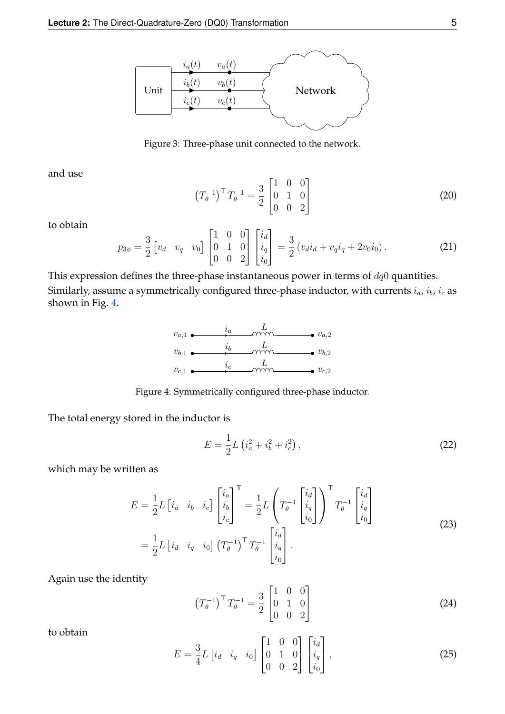<span id="page-4-0"></span>

Figure 3: Three-phase unit connected to the network.

and use

$$
\left(T_{\theta}^{-1}\right)^{\mathsf{T}}T_{\theta}^{-1} = \frac{3}{2} \begin{bmatrix} 1 & 0 & 0 \\ 0 & 1 & 0 \\ 0 & 0 & 2 \end{bmatrix} \tag{20}
$$

to obtain

<span id="page-4-2"></span>
$$
p_{3\phi} = \frac{3}{2} \begin{bmatrix} v_d & v_q & v_0 \end{bmatrix} \begin{bmatrix} 1 & 0 & 0 \\ 0 & 1 & 0 \\ 0 & 0 & 2 \end{bmatrix} \begin{bmatrix} i_d \\ i_q \\ i_0 \end{bmatrix} = \frac{3}{2} \left( v_d i_d + v_q i_q + 2v_0 i_0 \right). \tag{21}
$$

<span id="page-4-1"></span>This expression defines the three-phase instantaneous power in terms of  $dq0$  quantities. Similarly, assume a symmetrically configured three-phase inductor, with currents  $i_a$ ,  $i_b$ ,  $i_c$  as shown in Fig. [4.](#page-4-1)



Figure 4: Symmetrically configured three-phase inductor.

The total energy stored in the inductor is

$$
E = \frac{1}{2}L\left(i_a^2 + i_b^2 + i_c^2\right),\tag{22}
$$

which may be written as

$$
E = \frac{1}{2} L \begin{bmatrix} i_a & i_b & i_c \end{bmatrix} \begin{bmatrix} i_a \\ i_b \\ i_c \end{bmatrix}^\mathsf{T} = \frac{1}{2} L \begin{pmatrix} T^{-1} \\ T^{-1} \\ i_0 \\ i_0 \end{pmatrix}^\mathsf{T} T^{-1} \begin{bmatrix} i_d \\ i_q \\ i_0 \end{bmatrix}
$$
\n
$$
= \frac{1}{2} L \begin{bmatrix} i_d & i_q & i_0 \end{bmatrix} \begin{pmatrix} T^{-1} \\ T^{-1} \end{pmatrix}^\mathsf{T} T^{-1} \begin{bmatrix} i_d \\ i_q \\ i_0 \end{bmatrix} .
$$
\n
$$
(23)
$$

Again use the identity

$$
\left(T_{\theta}^{-1}\right)^{\mathsf{T}}T_{\theta}^{-1} = \frac{3}{2} \begin{bmatrix} 1 & 0 & 0 \\ 0 & 1 & 0 \\ 0 & 0 & 2 \end{bmatrix} \tag{24}
$$

to obtain

$$
E = \frac{3}{4}L \begin{bmatrix} i_d & i_q & i_0 \end{bmatrix} \begin{bmatrix} 1 & 0 & 0 \\ 0 & 1 & 0 \\ 0 & 0 & 2 \end{bmatrix} \begin{bmatrix} i_d \\ i_q \\ i_0 \end{bmatrix},
$$
 (25)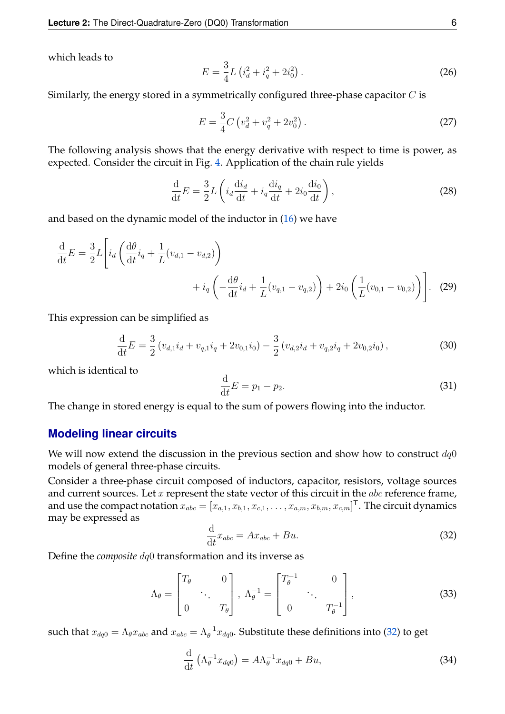which leads to

$$
E = \frac{3}{4}L\left(i_d^2 + i_q^2 + 2i_0^2\right).
$$
 (26)

Similarly, the energy stored in a symmetrically configured three-phase capacitor  $C$  is

$$
E = \frac{3}{4}C\left(v_d^2 + v_q^2 + 2v_0^2\right).
$$
 (27)

The following analysis shows that the energy derivative with respect to time is power, as expected. Consider the circuit in Fig. [4.](#page-4-1) Application of the chain rule yields

$$
\frac{\mathrm{d}}{\mathrm{d}t}E = \frac{3}{2}L\left(i_d\frac{\mathrm{d}i_d}{\mathrm{d}t} + i_q\frac{\mathrm{d}i_q}{\mathrm{d}t} + 2i_0\frac{\mathrm{d}i_0}{\mathrm{d}t}\right),\tag{28}
$$

and based on the dynamic model of the inductor in [\(16\)](#page-3-0) we have

$$
\frac{\mathrm{d}}{\mathrm{d}t}E = \frac{3}{2}L\left[i_d\left(\frac{\mathrm{d}\theta}{\mathrm{d}t}i_q + \frac{1}{L}(v_{d,1} - v_{d,2})\right) + i_q\left(-\frac{\mathrm{d}\theta}{\mathrm{d}t}i_d + \frac{1}{L}(v_{q,1} - v_{q,2})\right) + 2i_0\left(\frac{1}{L}(v_{0,1} - v_{0,2})\right)\right].
$$
\n(29)

This expression can be simplified as

$$
\frac{\mathrm{d}}{\mathrm{d}t}E = \frac{3}{2} \left( v_{d,1} i_d + v_{q,1} i_q + 2v_{0,1} i_0 \right) - \frac{3}{2} \left( v_{d,2} i_d + v_{q,2} i_q + 2v_{0,2} i_0 \right),\tag{30}
$$

which is identical to

$$
\frac{\mathrm{d}}{\mathrm{d}t}E = p_1 - p_2. \tag{31}
$$

The change in stored energy is equal to the sum of powers flowing into the inductor.

### **Modeling linear circuits**

We will now extend the discussion in the previous section and show how to construct  $dq0$ models of general three-phase circuits.

Consider a three-phase circuit composed of inductors, capacitor, resistors, voltage sources and current sources. Let  $x$  represent the state vector of this circuit in the  $abc$  reference frame, and use the compact notation  $x_{abc}=[x_{a,1},x_{b,1},x_{c,1},\ldots,x_{a,m},x_{b,m},x_{c,m}]^\mathsf{T}.$  The circuit dynamics may be expressed as

<span id="page-5-0"></span>
$$
\frac{\mathrm{d}}{\mathrm{d}t}x_{abc} = Ax_{abc} + Bu.
$$
\n(32)

Define the *composite* dq0 transformation and its inverse as

$$
\Lambda_{\theta} = \begin{bmatrix} T_{\theta} & 0 \\ \cdot & \cdot \\ 0 & T_{\theta} \end{bmatrix}, \ \Lambda_{\theta}^{-1} = \begin{bmatrix} T_{\theta}^{-1} & 0 \\ \cdot & \cdot \\ 0 & T_{\theta}^{-1} \end{bmatrix}, \tag{33}
$$

such that  $x_{dq0}=\Lambda_{\theta}x_{abc}$  and  $x_{abc}=\Lambda_{\theta}^{-1}x_{dq0}.$  Substitute these definitions into [\(32\)](#page-5-0) to get

$$
\frac{\mathrm{d}}{\mathrm{d}t} \left( \Lambda_{\theta}^{-1} x_{dq0} \right) = A \Lambda_{\theta}^{-1} x_{dq0} + B u,\tag{34}
$$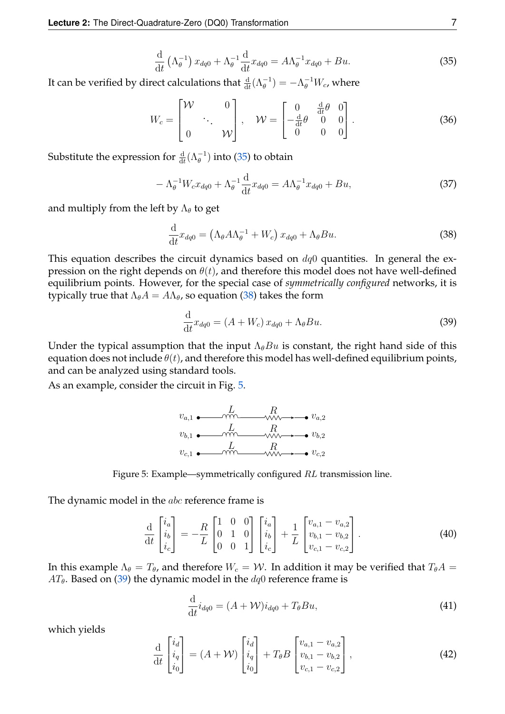<span id="page-6-0"></span>
$$
\frac{\mathrm{d}}{\mathrm{d}t} \left( \Lambda_{\theta}^{-1} \right) x_{dq0} + \Lambda_{\theta}^{-1} \frac{\mathrm{d}}{\mathrm{d}t} x_{dq0} = A \Lambda_{\theta}^{-1} x_{dq0} + B u. \tag{35}
$$

It can be verified by direct calculations that  $\frac{d}{dt}(\Lambda_{\theta}^{-1}) = -\Lambda_{\theta}^{-1}W_{c}$ , where

$$
W_c = \begin{bmatrix} \mathcal{W} & 0 \\ 0 & \mathcal{W} \end{bmatrix}, \quad \mathcal{W} = \begin{bmatrix} 0 & \frac{\mathrm{d}}{\mathrm{d}t} \theta & 0 \\ -\frac{\mathrm{d}}{\mathrm{d}t} \theta & 0 & 0 \\ 0 & 0 & 0 \end{bmatrix} . \tag{36}
$$

Substitute the expression for  $\frac{\text{d}}{\text{d}t}(\Lambda_{\theta}^{-1})$  into [\(35\)](#page-6-0) to obtain

$$
-\Lambda_{\theta}^{-1}W_{c}x_{dq0} + \Lambda_{\theta}^{-1}\frac{d}{dt}x_{dq0} = A\Lambda_{\theta}^{-1}x_{dq0} + Bu,
$$
\n(37)

and multiply from the left by  $\Lambda_{\theta}$  to get

<span id="page-6-1"></span>
$$
\frac{\mathrm{d}}{\mathrm{d}t}x_{dq0} = \left(\Lambda_{\theta}A\Lambda_{\theta}^{-1} + W_{c}\right)x_{dq0} + \Lambda_{\theta}Bu.
$$
\n(38)

This equation describes the circuit dynamics based on  $dq0$  quantities. In general the expression on the right depends on  $\theta(t)$ , and therefore this model does not have well-defined equilibrium points. However, for the special case of *symmetrically configured* networks, it is typically true that  $\Lambda_{\theta}A = A\Lambda_{\theta}$ , so equation [\(38\)](#page-6-1) takes the form

<span id="page-6-3"></span>
$$
\frac{\mathrm{d}}{\mathrm{d}t}x_{dq0} = (A + W_c)x_{dq0} + \Lambda_\theta Bu. \tag{39}
$$

Under the typical assumption that the input  $\Lambda_{\theta}Bu$  is constant, the right hand side of this equation does not include  $\theta(t)$ , and therefore this model has well-defined equilibrium points, and can be analyzed using standard tools.

<span id="page-6-2"></span>As an example, consider the circuit in Fig. [5.](#page-6-2)





The dynamic model in the *abc* reference frame is

$$
\frac{\mathrm{d}}{\mathrm{d}t} \begin{bmatrix} i_a \\ i_b \\ i_c \end{bmatrix} = -\frac{R}{L} \begin{bmatrix} 1 & 0 & 0 \\ 0 & 1 & 0 \\ 0 & 0 & 1 \end{bmatrix} \begin{bmatrix} i_a \\ i_b \\ i_c \end{bmatrix} + \frac{1}{L} \begin{bmatrix} v_{a,1} - v_{a,2} \\ v_{b,1} - v_{b,2} \\ v_{c,1} - v_{c,2} \end{bmatrix} . \tag{40}
$$

In this example  $\Lambda_{\theta} = T_{\theta}$ , and therefore  $W_c = W$ . In addition it may be verified that  $T_{\theta}A =$  $AT_{\theta}$ . Based on [\(39\)](#page-6-3) the dynamic model in the  $dq0$  reference frame is

$$
\frac{\mathrm{d}}{\mathrm{d}t}i_{dq0} = (A + \mathcal{W})i_{dq0} + T_{\theta}Bu,
$$
\n(41)

which yields

$$
\frac{\mathrm{d}}{\mathrm{d}t} \begin{bmatrix} i_d \\ i_q \\ i_0 \end{bmatrix} = (A + \mathcal{W}) \begin{bmatrix} i_d \\ i_q \\ i_0 \end{bmatrix} + T_{\theta} B \begin{bmatrix} v_{a,1} - v_{a,2} \\ v_{b,1} - v_{b,2} \\ v_{c,1} - v_{c,2} \end{bmatrix},
$$
\n(42)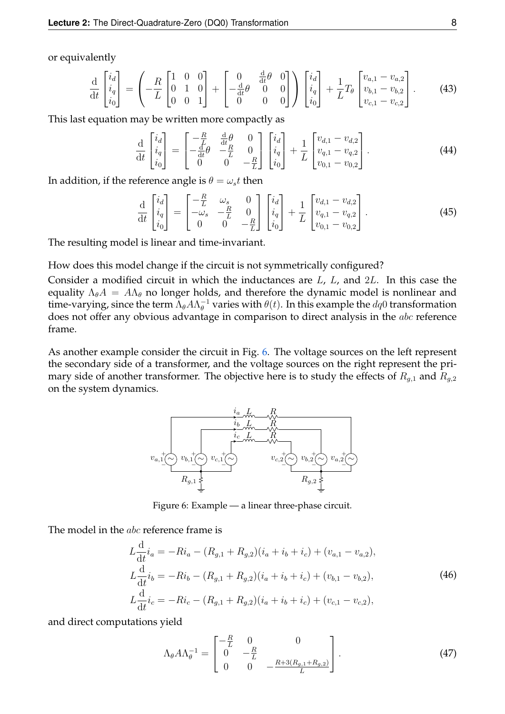or equivalently

$$
\frac{\mathrm{d}}{\mathrm{d}t} \begin{bmatrix} i_d \\ i_q \\ i_0 \end{bmatrix} = \left( -\frac{R}{L} \begin{bmatrix} 1 & 0 & 0 \\ 0 & 1 & 0 \\ 0 & 0 & 1 \end{bmatrix} + \begin{bmatrix} 0 & \frac{\mathrm{d}}{\mathrm{d}t} \theta & 0 \\ -\frac{\mathrm{d}}{\mathrm{d}t} \theta & 0 & 0 \\ 0 & 0 & 0 \end{bmatrix} \right) \begin{bmatrix} i_d \\ i_q \\ i_0 \end{bmatrix} + \frac{1}{L} T_{\theta} \begin{bmatrix} v_{a,1} - v_{a,2} \\ v_{b,1} - v_{b,2} \\ v_{c,1} - v_{c,2} \end{bmatrix} . \tag{43}
$$

This last equation may be written more compactly as

$$
\frac{\mathrm{d}}{\mathrm{d}t} \begin{bmatrix} i_d \\ i_q \\ i_0 \end{bmatrix} = \begin{bmatrix} -\frac{R}{L} & \frac{\mathrm{d}}{\mathrm{d}t} \theta & 0 \\ -\frac{\mathrm{d}}{\mathrm{d}t} \theta & -\frac{R}{L} & 0 \\ 0 & 0 & -\frac{R}{L} \end{bmatrix} \begin{bmatrix} i_d \\ i_q \\ i_0 \end{bmatrix} + \frac{1}{L} \begin{bmatrix} v_{d,1} - v_{d,2} \\ v_{q,1} - v_{q,2} \\ v_{0,1} - v_{0,2} \end{bmatrix} . \tag{44}
$$

In addition, if the reference angle is  $\theta = \omega_s t$  then

<span id="page-7-1"></span>
$$
\frac{\mathrm{d}}{\mathrm{d}t} \begin{bmatrix} i_d \\ i_q \\ i_0 \end{bmatrix} = \begin{bmatrix} -\frac{R}{L} & \omega_s & 0 \\ -\omega_s & -\frac{R}{L} & 0 \\ 0 & 0 & -\frac{R}{L} \end{bmatrix} \begin{bmatrix} i_d \\ i_q \\ i_0 \end{bmatrix} + \frac{1}{L} \begin{bmatrix} v_{d,1} - v_{d,2} \\ v_{q,1} - v_{q,2} \\ v_{0,1} - v_{0,2} \end{bmatrix} . \tag{45}
$$

The resulting model is linear and time-invariant.

How does this model change if the circuit is not symmetrically configured?

Consider a modified circuit in which the inductances are  $L$ ,  $L$ , and  $2L$ . In this case the equality  $\Lambda_{\theta}A = A\Lambda_{\theta}$  no longer holds, and therefore the dynamic model is nonlinear and time-varying, since the term  $\bar{\Lambda}_{\theta} A \Lambda_{\theta}^{-1}$  varies with  $\theta(t)$ . In this example the  $dq0$  transformation does not offer any obvious advantage in comparison to direct analysis in the abc reference frame.

<span id="page-7-0"></span>As another example consider the circuit in Fig. [6.](#page-7-0) The voltage sources on the left represent the secondary side of a transformer, and the voltage sources on the right represent the primary side of another transformer. The objective here is to study the effects of  $R_{g,1}$  and  $R_{g,2}$ on the system dynamics.



Figure 6: Example — a linear three-phase circuit.

The model in the *abc* reference frame is

$$
L\frac{d}{dt}i_a = -Ri_a - (R_{g,1} + R_{g,2})(i_a + i_b + i_c) + (v_{a,1} - v_{a,2}),
$$
  
\n
$$
L\frac{d}{dt}i_b = -Ri_b - (R_{g,1} + R_{g,2})(i_a + i_b + i_c) + (v_{b,1} - v_{b,2}),
$$
  
\n
$$
L\frac{d}{dt}i_c = -Ri_c - (R_{g,1} + R_{g,2})(i_a + i_b + i_c) + (v_{c,1} - v_{c,2}),
$$
\n(46)

and direct computations yield

$$
\Lambda_{\theta} A \Lambda_{\theta}^{-1} = \begin{bmatrix} -\frac{R}{L} & 0 & 0\\ 0 & -\frac{R}{L} & 0\\ 0 & 0 & -\frac{R+3(R_{g,1}+R_{g,2})}{L} \end{bmatrix} .
$$
 (47)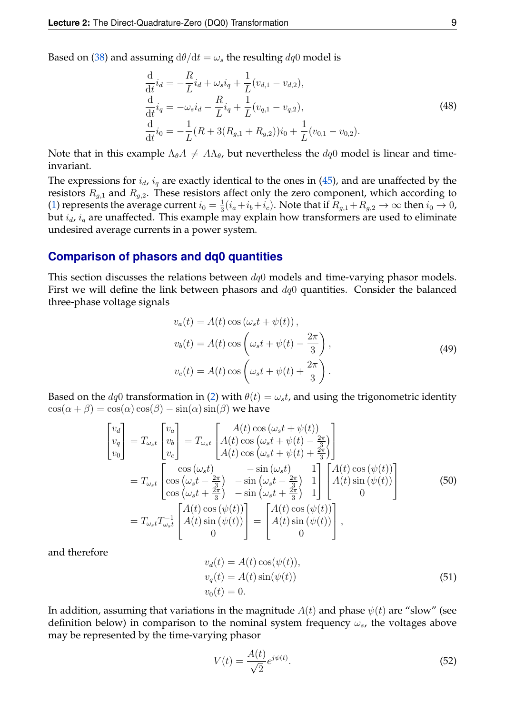Based on [\(38\)](#page-6-1) and assuming  $d\theta/dt = \omega_s$  the resulting  $dq0$  model is

$$
\frac{\mathrm{d}}{\mathrm{d}t}i_d = -\frac{R}{L}i_d + \omega_s i_q + \frac{1}{L}(v_{d,1} - v_{d,2}),
$$
\n
$$
\frac{\mathrm{d}}{\mathrm{d}t}i_q = -\omega_s i_d - \frac{R}{L}i_q + \frac{1}{L}(v_{q,1} - v_{q,2}),
$$
\n
$$
\frac{\mathrm{d}}{\mathrm{d}t}i_0 = -\frac{1}{L}(R + 3(R_{g,1} + R_{g,2}))i_0 + \frac{1}{L}(v_{0,1} - v_{0,2}).
$$
\n(48)

Note that in this example  $\Lambda_{\theta}A \neq A\Lambda_{\theta}$ , but nevertheless the  $dq0$  model is linear and timeinvariant.

The expressions for  $i_d$ ,  $i_q$  are exactly identical to the ones in [\(45\)](#page-7-1), and are unaffected by the resistors  $R_{g,1}$  and  $R_{g,2}$ . These resistors affect only the zero component, which according to [\(1\)](#page-0-0) represents the average current  $i_0 = \frac{1}{3}$  $\frac{1}{3}(i_a+i_b+i_c)$ . Note that if  $R_{g,1}+R_{g,2}\rightarrow\infty$  then  $i_0\rightarrow 0$ , but  $i_d$ ,  $i_q$  are unaffected. This example may explain how transformers are used to eliminate undesired average currents in a power system.

# **Comparison of phasors and dq0 quantities**

This section discusses the relations between  $dq0$  models and time-varying phasor models. First we will define the link between phasors and  $dq0$  quantities. Consider the balanced three-phase voltage signals

$$
v_a(t) = A(t) \cos(\omega_s t + \psi(t)),
$$
  
\n
$$
v_b(t) = A(t) \cos\left(\omega_s t + \psi(t) - \frac{2\pi}{3}\right),
$$
  
\n
$$
v_c(t) = A(t) \cos\left(\omega_s t + \psi(t) + \frac{2\pi}{3}\right).
$$
\n(49)

Based on the  $dq0$  transformation in [\(2\)](#page-0-1) with  $\theta(t) = \omega_s t$ , and using the trigonometric identity  $\cos(\alpha + \beta) = \cos(\alpha)\cos(\beta) - \sin(\alpha)\sin(\beta)$  we have

$$
\begin{bmatrix}\nv_d \\
v_q \\
v_0\n\end{bmatrix} = T_{\omega_s t} \begin{bmatrix}\nv_a \\
v_b \\
v_c\n\end{bmatrix} = T_{\omega_s t} \begin{bmatrix}\nA(t) \cos(\omega_s t + \psi(t)) \\
A(t) \cos(\omega_s t + \psi(t) - \frac{2\pi}{3}) \\
A(t) \cos(\omega_s t + \psi(t) + \frac{2\pi}{3})\n\end{bmatrix}
$$
\n
$$
= T_{\omega_s t} \begin{bmatrix}\n\cos(\omega_s t) & -\sin(\omega_s t) & 1 \\
\cos(\omega_s t - \frac{2\pi}{3}) & -\sin(\omega_s t - \frac{2\pi}{3}) & 1 \\
\cos(\omega_s t + \frac{2\pi}{3}) & -\sin(\omega_s t + \frac{2\pi}{3}) & 1\n\end{bmatrix} \begin{bmatrix}\nA(t) \cos(\psi(t)) \\
A(t) \sin(\psi(t)) \\
0\n\end{bmatrix}
$$
\n(50)\n
$$
= T_{\omega_s t} T_{\omega_s t}^{-1} \begin{bmatrix}\nA(t) \cos(\psi(t)) \\
A(t) \sin(\psi(t)) \\
0\n\end{bmatrix} = \begin{bmatrix}\nA(t) \cos(\psi(t)) \\
A(t) \sin(\psi(t)) \\
0\n\end{bmatrix},
$$

and therefore

<span id="page-8-0"></span>
$$
v_d(t) = A(t) \cos(\psi(t)),
$$
  
\n
$$
v_q(t) = A(t) \sin(\psi(t))
$$
  
\n
$$
v_0(t) = 0.
$$
\n(51)

In addition, assuming that variations in the magnitude  $A(t)$  and phase  $\psi(t)$  are "slow" (see definition below) in comparison to the nominal system frequency  $\omega_s$ , the voltages above may be represented by the time-varying phasor

<span id="page-8-1"></span>
$$
V(t) = \frac{A(t)}{\sqrt{2}} e^{j\psi(t)}.
$$
\n(52)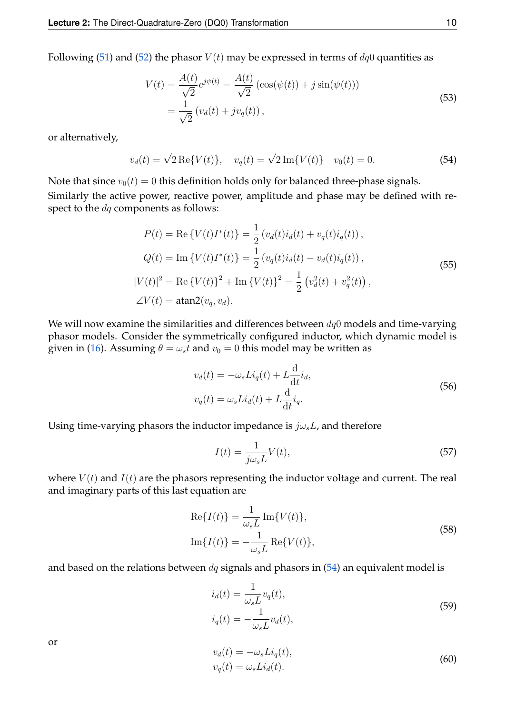Following [\(51\)](#page-8-0) and [\(52\)](#page-8-1) the phasor  $V(t)$  may be expressed in terms of  $dq0$  quantities as

$$
V(t) = \frac{A(t)}{\sqrt{2}} e^{j\psi(t)} = \frac{A(t)}{\sqrt{2}} \left( \cos(\psi(t)) + j \sin(\psi(t)) \right)
$$
  
=  $\frac{1}{\sqrt{2}} \left( v_d(t) + j v_q(t) \right),$  (53)

or alternatively,

<span id="page-9-0"></span>
$$
v_d(t) = \sqrt{2} \operatorname{Re}\{V(t)\}, \quad v_q(t) = \sqrt{2} \operatorname{Im}\{V(t)\} \quad v_0(t) = 0. \tag{54}
$$

Note that since  $v_0(t) = 0$  this definition holds only for balanced three-phase signals. Similarly the active power, reactive power, amplitude and phase may be defined with respect to the  $dq$  components as follows:

<span id="page-9-3"></span>
$$
P(t) = \text{Re}\left\{V(t)I^*(t)\right\} = \frac{1}{2}\left(v_d(t)i_d(t) + v_q(t)i_q(t)\right),
$$
  
\n
$$
Q(t) = \text{Im}\left\{V(t)I^*(t)\right\} = \frac{1}{2}\left(v_q(t)i_d(t) - v_d(t)i_q(t)\right),
$$
  
\n
$$
|V(t)|^2 = \text{Re}\left\{V(t)\right\}^2 + \text{Im}\left\{V(t)\right\}^2 = \frac{1}{2}\left(v_d^2(t) + v_q^2(t)\right),
$$
  
\n
$$
\angle V(t) = \text{atan2}(v_q, v_d).
$$
\n(55)

We will now examine the similarities and differences between  $dq0$  models and time-varying phasor models. Consider the symmetrically configured inductor, which dynamic model is given in [\(16\)](#page-3-0). Assuming  $\theta = \omega_s t$  and  $v_0 = 0$  this model may be written as

<span id="page-9-1"></span>
$$
v_d(t) = -\omega_s Li_q(t) + L\frac{d}{dt}\dot{i}_d,
$$
  

$$
v_q(t) = \omega_s Li_d(t) + L\frac{d}{dt}\dot{i}_q.
$$
 (56)

Using time-varying phasors the inductor impedance is  $j\omega_s L$ , and therefore

$$
I(t) = \frac{1}{j\omega_s L} V(t),\tag{57}
$$

where  $V(t)$  and  $I(t)$  are the phasors representing the inductor voltage and current. The real and imaginary parts of this last equation are

$$
\operatorname{Re}\{I(t)\} = \frac{1}{\omega_s L} \operatorname{Im}\{V(t)\},\
$$

$$
\operatorname{Im}\{I(t)\} = -\frac{1}{\omega_s L} \operatorname{Re}\{V(t)\},\
$$
(58)

and based on the relations between  $dq$  signals and phasors in  $(54)$  an equivalent model is

$$
i_d(t) = \frac{1}{\omega_s L} v_q(t),
$$
  
\n
$$
i_q(t) = -\frac{1}{\omega_s L} v_d(t),
$$
\n(59)

or

<span id="page-9-2"></span>
$$
v_d(t) = -\omega_s Li_q(t),
$$
  
\n
$$
v_q(t) = \omega_s Li_d(t).
$$
\n(60)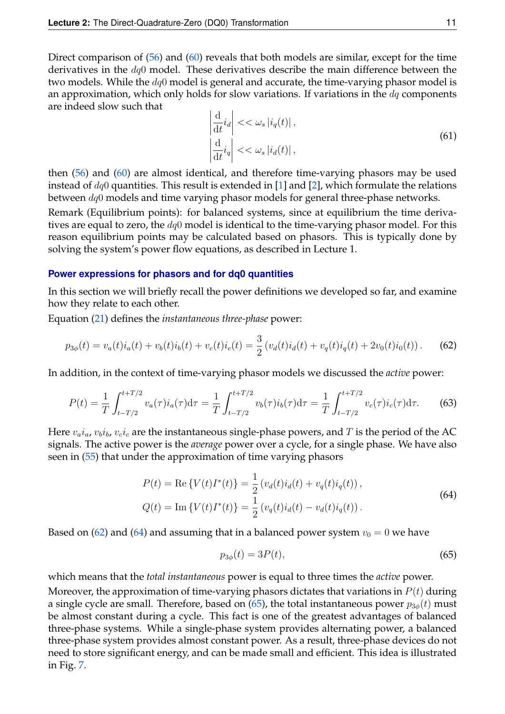Direct comparison of [\(56\)](#page-9-1) and [\(60\)](#page-9-2) reveals that both models are similar, except for the time derivatives in the  $dq0$  model. These derivatives describe the main difference between the two models. While the  $dq0$  model is general and accurate, the time-varying phasor model is an approximation, which only holds for slow variations. If variations in the  $dq$  components are indeed slow such that

$$
\left|\frac{\mathrm{d}}{\mathrm{d}t}i_d\right| << \omega_s |i_q(t)|,
$$
\n
$$
\left|\frac{\mathrm{d}}{\mathrm{d}t}i_q\right| << \omega_s |i_d(t)|,
$$
\n(61)

then [\(56\)](#page-9-1) and [\(60\)](#page-9-2) are almost identical, and therefore time-varying phasors may be used instead of  $dq0$  quantities. This result is extended in [\[1\]](#page-14-0) and [\[2\]](#page-14-1), which formulate the relations between  $dq0$  models and time varying phasor models for general three-phase networks.

Remark (Equilibrium points): for balanced systems, since at equilibrium the time derivatives are equal to zero, the  $dq0$  model is identical to the time-varying phasor model. For this reason equilibrium points may be calculated based on phasors. This is typically done by solving the system's power flow equations, as described in Lecture 1.

#### **Power expressions for phasors and for dq0 quantities**

In this section we will briefly recall the power definitions we developed so far, and examine how they relate to each other.

Equation [\(21\)](#page-4-2) defines the *instantaneous three-phase* power:

<span id="page-10-0"></span>
$$
p_{3\phi}(t) = v_a(t)i_a(t) + v_b(t)i_b(t) + v_c(t)i_c(t) = \frac{3}{2} (v_d(t)i_d(t) + v_q(t)i_q(t) + 2v_0(t)i_0(t)).
$$
 (62)

In addition, in the context of time-varying phasor models we discussed the *active* power:

$$
P(t) = \frac{1}{T} \int_{t - T/2}^{t + T/2} v_a(\tau) i_a(\tau) d\tau = \frac{1}{T} \int_{t - T/2}^{t + T/2} v_b(\tau) i_b(\tau) d\tau = \frac{1}{T} \int_{t - T/2}^{t + T/2} v_c(\tau) i_c(\tau) d\tau.
$$
 (63)

Here  $v_a i_a$ ,  $v_b i_b$ ,  $v_c i_c$  are the instantaneous single-phase powers, and T is the period of the AC signals. The active power is the *average* power over a cycle, for a single phase. We have also seen in [\(55\)](#page-9-3) that under the approximation of time varying phasors

<span id="page-10-1"></span>
$$
P(t) = \text{Re}\left\{V(t)I^*(t)\right\} = \frac{1}{2}\left(v_d(t)i_d(t) + v_q(t)i_q(t)\right),
$$
  
\n
$$
Q(t) = \text{Im}\left\{V(t)I^*(t)\right\} = \frac{1}{2}\left(v_q(t)i_d(t) - v_d(t)i_q(t)\right).
$$
\n(64)

Based on [\(62\)](#page-10-0) and [\(64\)](#page-10-1) and assuming that in a balanced power system  $v_0 = 0$  we have

<span id="page-10-2"></span>
$$
p_{3\phi}(t) = 3P(t),
$$
\n(65)

which means that the *total instantaneous* power is equal to three times the *active* power.

Moreover, the approximation of time-varying phasors dictates that variations in  $P(t)$  during a single cycle are small. Therefore, based on [\(65\)](#page-10-2), the total instantaneous power  $p_{3\phi}(t)$  must be almost constant during a cycle. This fact is one of the greatest advantages of balanced three-phase systems. While a single-phase system provides alternating power, a balanced three-phase system provides almost constant power. As a result, three-phase devices do not need to store significant energy, and can be made small and efficient. This idea is illustrated in Fig. [7.](#page-11-0)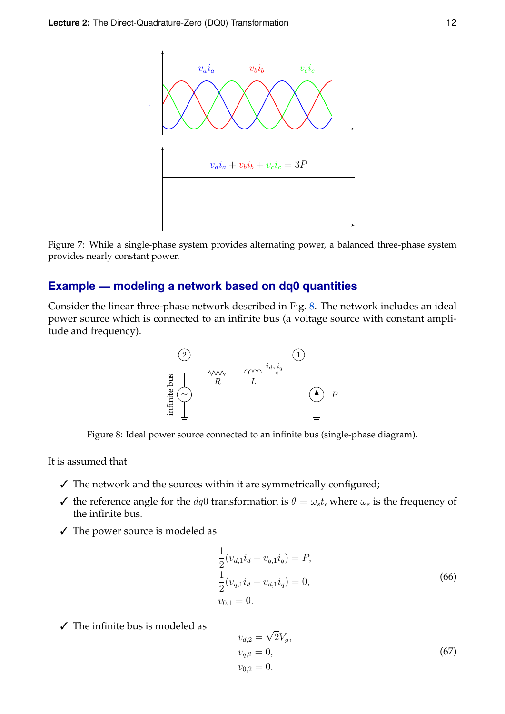<span id="page-11-0"></span>

Figure 7: While a single-phase system provides alternating power, a balanced three-phase system provides nearly constant power.

# **Example — modeling a network based on dq0 quantities**

<span id="page-11-1"></span>Consider the linear three-phase network described in Fig. [8.](#page-11-1) The network includes an ideal power source which is connected to an infinite bus (a voltage source with constant amplitude and frequency).



Figure 8: Ideal power source connected to an infinite bus (single-phase diagram).

It is assumed that

- $\checkmark$  The network and the sources within it are symmetrically configured;
- $\checkmark$  the reference angle for the  $dq0$  transformation is  $\theta = \omega_s t$ , where  $\omega_s$  is the frequency of the infinite bus.
- ✓ The power source is modeled as

<span id="page-11-2"></span>
$$
\frac{1}{2}(v_{d,1}i_d + v_{q,1}i_q) = P,
$$
\n
$$
\frac{1}{2}(v_{q,1}i_d - v_{d,1}i_q) = 0,
$$
\n
$$
v_{0,1} = 0.
$$
\n(66)

 $\angle$  The infinite bus is modeled as

<span id="page-11-3"></span>
$$
v_{d,2} = \sqrt{2}V_g,
$$
  
\n
$$
v_{q,2} = 0,
$$
  
\n
$$
v_{0,2} = 0.
$$
\n(67)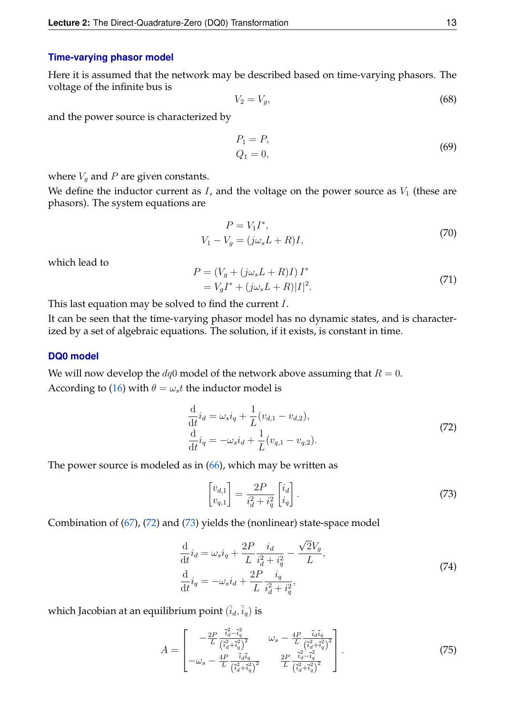#### **Time-varying phasor model**

Here it is assumed that the network may be described based on time-varying phasors. The voltage of the infinite bus is

$$
V_2 = V_g,\tag{68}
$$

and the power source is characterized by

$$
P_1 = P, Q_1 = 0,
$$
 (69)

where  $V_g$  and  $P$  are given constants.

We define the inductor current as  $I$ , and the voltage on the power source as  $V_1$  (these are phasors). The system equations are

$$
P = V_1 I^*,
$$
  
\n
$$
V_1 - V_g = (j\omega_s L + R)I,
$$
\n(70)

which lead to

$$
P = (V_g + (j\omega_s L + R)I)I^* = V_gI^* + (j\omega_s L + R)|I|^2.
$$
 (71)

This last equation may be solved to find the current I.

It can be seen that the time-varying phasor model has no dynamic states, and is characterized by a set of algebraic equations. The solution, if it exists, is constant in time.

#### **DQ0 model**

We will now develop the  $dq0$  model of the network above assuming that  $R = 0$ . According to [\(16\)](#page-3-0) with  $\theta = \omega_s t$  the inductor model is

<span id="page-12-0"></span>
$$
\frac{\mathrm{d}}{\mathrm{d}t}i_d = \omega_s i_q + \frac{1}{L}(v_{d,1} - v_{d,2}),\n\frac{\mathrm{d}}{\mathrm{d}t}i_q = -\omega_s i_d + \frac{1}{L}(v_{q,1} - v_{q,2}).
$$
\n(72)

The power source is modeled as in  $(66)$ , which may be written as

<span id="page-12-1"></span>
$$
\begin{bmatrix} v_{d,1} \\ v_{q,1} \end{bmatrix} = \frac{2P}{i_d^2 + i_q^2} \begin{bmatrix} i_d \\ i_q \end{bmatrix} . \tag{73}
$$

Combination of [\(67\)](#page-11-3), [\(72\)](#page-12-0) and [\(73\)](#page-12-1) yields the (nonlinear) state-space model

$$
\frac{\mathrm{d}}{\mathrm{d}t}i_d = \omega_s i_q + \frac{2P}{L} \frac{i_d}{i_d^2 + i_q^2} - \frac{\sqrt{2}V_g}{L},
$$
\n
$$
\frac{\mathrm{d}}{\mathrm{d}t}i_q = -\omega_s i_d + \frac{2P}{L} \frac{i_q}{i_d^2 + i_q^2},
$$
\n(74)

which Jacobian at an equilibrium point  $(\bar{i}_d, \bar{i}_q)$  is

$$
A = \begin{bmatrix} -\frac{2P}{L} \frac{\bar{i}_a^2 - \bar{i}_q^2}{(\bar{i}_a^2 + \bar{i}_q^2)^2} & \omega_s - \frac{4P}{L} \frac{\bar{i}_a \bar{i}_q}{(\bar{i}_a^2 + \bar{i}_q^2)^2} \\ -\omega_s - \frac{4P}{L} \frac{\bar{i}_a \bar{i}_q}{(\bar{i}_a^2 + \bar{i}_q^2)^2} & \frac{2P}{L} \frac{\bar{i}_a^2 - \bar{i}_q^2}{(\bar{i}_a^2 + \bar{i}_q^2)^2} \end{bmatrix} . \tag{75}
$$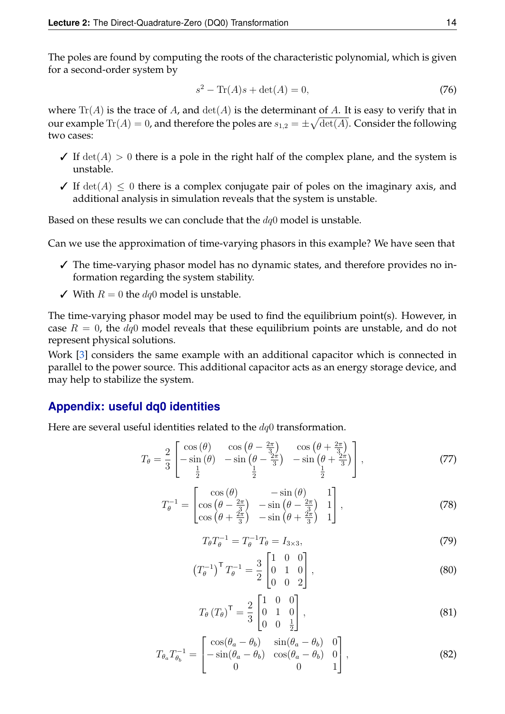The poles are found by computing the roots of the characteristic polynomial, which is given for a second-order system by

$$
s^2 - \text{Tr}(A)s + \det(A) = 0,\t(76)
$$

where  $\text{Tr}(A)$  is the trace of A, and  $\det(A)$  is the determinant of A. It is easy to verify that in our example  $\text{Tr}(A)=0$ , and therefore the poles are  $s_{1,2}=\pm\sqrt{\text{det}(A)}.$  Consider the following two cases:

- $\checkmark$  If  $\det(A) > 0$  there is a pole in the right half of the complex plane, and the system is unstable.
- $\checkmark$  If  $\det(A) \leq 0$  there is a complex conjugate pair of poles on the imaginary axis, and additional analysis in simulation reveals that the system is unstable.

Based on these results we can conclude that the  $dq0$  model is unstable.

Can we use the approximation of time-varying phasors in this example? We have seen that

- $\checkmark$  The time-varying phasor model has no dynamic states, and therefore provides no information regarding the system stability.
- $\checkmark$  With  $R = 0$  the  $dq0$  model is unstable.

The time-varying phasor model may be used to find the equilibrium point(s). However, in case  $R = 0$ , the  $dq0$  model reveals that these equilibrium points are unstable, and do not represent physical solutions.

Work [\[3\]](#page-14-2) considers the same example with an additional capacitor which is connected in parallel to the power source. This additional capacitor acts as an energy storage device, and may help to stabilize the system.

# **Appendix: useful dq0 identities**

Here are several useful identities related to the  $dq0$  transformation.

$$
T_{\theta} = \frac{2}{3} \begin{bmatrix} \cos(\theta) & \cos(\theta - \frac{2\pi}{3}) & \cos(\theta + \frac{2\pi}{3})\\ -\sin(\theta) & -\sin(\theta - \frac{2\pi}{3}) & -\sin(\theta + \frac{2\pi}{3})\\ \frac{1}{2} & \frac{1}{2} & \frac{1}{2} \end{bmatrix},
$$
(77)

$$
T_{\theta}^{-1} = \begin{bmatrix} \cos\left(\theta\right) & -\sin\left(\theta\right) & 1\\ \cos\left(\theta - \frac{2\pi}{3}\right) & -\sin\left(\theta - \frac{2\pi}{3}\right) & 1\\ \cos\left(\theta + \frac{2\pi}{3}\right) & -\sin\left(\theta + \frac{2\pi}{3}\right) & 1 \end{bmatrix},\tag{78}
$$

$$
T_{\theta}T_{\theta}^{-1} = T_{\theta}^{-1}T_{\theta} = I_{3 \times 3},\tag{79}
$$

$$
\left(T_{\theta}^{-1}\right)^{\mathsf{T}}T_{\theta}^{-1} = \frac{3}{2} \begin{bmatrix} 1 & 0 & 0 \\ 0 & 1 & 0 \\ 0 & 0 & 2 \end{bmatrix},\tag{80}
$$

$$
T_{\theta} (T_{\theta})^{\mathsf{T}} = \frac{2}{3} \begin{bmatrix} 1 & 0 & 0 \\ 0 & 1 & 0 \\ 0 & 0 & \frac{1}{2} \end{bmatrix}, \tag{81}
$$

$$
T_{\theta_a} T_{\theta_b}^{-1} = \begin{bmatrix} \cos(\theta_a - \theta_b) & \sin(\theta_a - \theta_b) & 0\\ -\sin(\theta_a - \theta_b) & \cos(\theta_a - \theta_b) & 0\\ 0 & 0 & 1 \end{bmatrix},
$$
(82)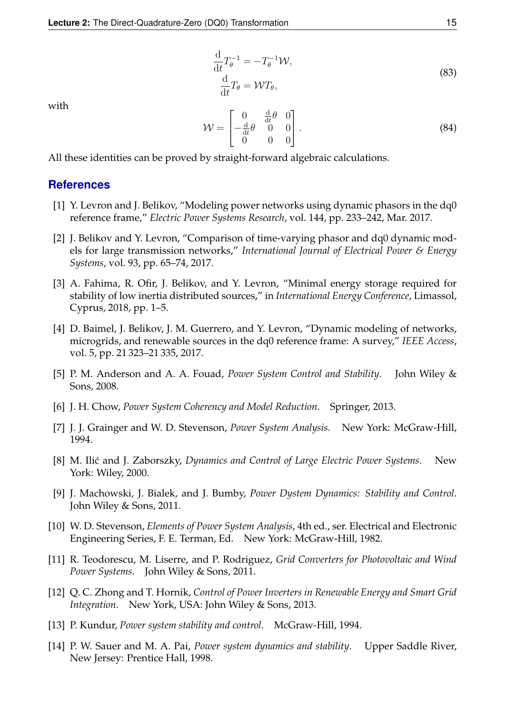$$
\frac{\mathrm{d}}{\mathrm{d}t}T_{\theta}^{-1} = -T_{\theta}^{-1}\mathcal{W},
$$
\n
$$
\frac{\mathrm{d}}{\mathrm{d}t}T_{\theta} = \mathcal{W}T_{\theta},
$$
\n(83)

with

$$
\mathcal{W} = \begin{bmatrix} 0 & \frac{\mathrm{d}}{\mathrm{d}t} \theta & 0 \\ -\frac{\mathrm{d}}{\mathrm{d}t} \theta & 0 & 0 \\ 0 & 0 & 0 \end{bmatrix} . \tag{84}
$$

All these identities can be proved by straight-forward algebraic calculations.

# **References**

- <span id="page-14-0"></span>[1] Y. Levron and J. Belikov, "Modeling power networks using dynamic phasors in the dq0 reference frame," *Electric Power Systems Research*, vol. 144, pp. 233–242, Mar. 2017.
- <span id="page-14-1"></span>[2] J. Belikov and Y. Levron, "Comparison of time-varying phasor and dq0 dynamic models for large transmission networks," *International Journal of Electrical Power & Energy Systems*, vol. 93, pp. 65–74, 2017.
- <span id="page-14-2"></span>[3] A. Fahima, R. Ofir, J. Belikov, and Y. Levron, "Minimal energy storage required for stability of low inertia distributed sources," in *International Energy Conference*, Limassol, Cyprus, 2018, pp. 1–5.
- [4] D. Baimel, J. Belikov, J. M. Guerrero, and Y. Levron, "Dynamic modeling of networks, microgrids, and renewable sources in the dq0 reference frame: A survey," *IEEE Access*, vol. 5, pp. 21 323–21 335, 2017.
- [5] P. M. Anderson and A. A. Fouad, *Power System Control and Stability*. John Wiley & Sons, 2008.
- [6] J. H. Chow, *Power System Coherency and Model Reduction*. Springer, 2013.
- [7] J. J. Grainger and W. D. Stevenson, *Power System Analysis*. New York: McGraw-Hill, 1994.
- [8] M. Ili´c and J. Zaborszky, *Dynamics and Control of Large Electric Power Systems*. New York: Wiley, 2000.
- [9] J. Machowski, J. Bialek, and J. Bumby, *Power Dystem Dynamics: Stability and Control*. John Wiley & Sons, 2011.
- [10] W. D. Stevenson, *Elements of Power System Analysis*, 4th ed., ser. Electrical and Electronic Engineering Series, F. E. Terman, Ed. New York: McGraw-Hill, 1982.
- [11] R. Teodorescu, M. Liserre, and P. Rodriguez, *Grid Converters for Photovoltaic and Wind Power Systems*. John Wiley & Sons, 2011.
- [12] Q. C. Zhong and T. Hornik, *Control of Power Inverters in Renewable Energy and Smart Grid Integration*. New York, USA: John Wiley & Sons, 2013.
- [13] P. Kundur, *Power system stability and control*. McGraw-Hill, 1994.
- [14] P. W. Sauer and M. A. Pai, *Power system dynamics and stability*. Upper Saddle River, New Jersey: Prentice Hall, 1998.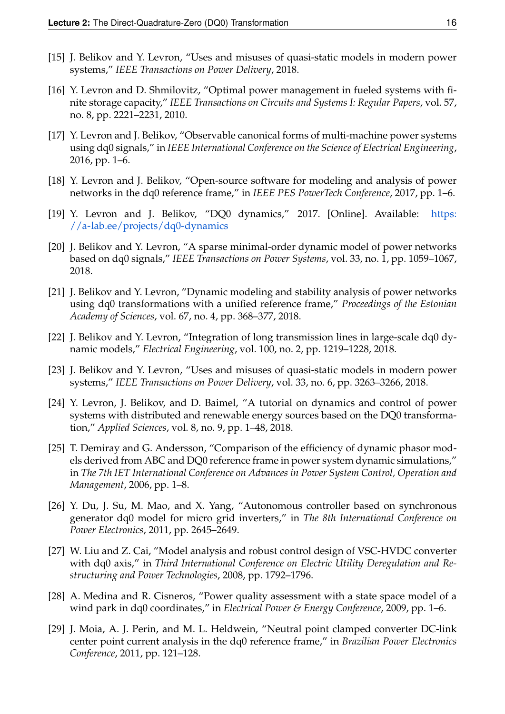- [15] J. Belikov and Y. Levron, "Uses and misuses of quasi-static models in modern power systems," *IEEE Transactions on Power Delivery*, 2018.
- [16] Y. Levron and D. Shmilovitz, "Optimal power management in fueled systems with finite storage capacity," *IEEE Transactions on Circuits and Systems I: Regular Papers*, vol. 57, no. 8, pp. 2221–2231, 2010.
- [17] Y. Levron and J. Belikov, "Observable canonical forms of multi-machine power systems using dq0 signals," in *IEEE International Conference on the Science of Electrical Engineering*, 2016, pp. 1–6.
- [18] Y. Levron and J. Belikov, "Open-source software for modeling and analysis of power networks in the dq0 reference frame," in *IEEE PES PowerTech Conference*, 2017, pp. 1–6.
- [19] Y. Levron and J. Belikov, "DQ0 dynamics," 2017. [Online]. Available: [https:](https://a-lab.ee/projects/dq0-dynamics) [//a-lab.ee/projects/dq0-dynamics](https://a-lab.ee/projects/dq0-dynamics)
- [20] J. Belikov and Y. Levron, "A sparse minimal-order dynamic model of power networks based on dq0 signals," *IEEE Transactions on Power Systems*, vol. 33, no. 1, pp. 1059–1067, 2018.
- [21] J. Belikov and Y. Levron, "Dynamic modeling and stability analysis of power networks using dq0 transformations with a unified reference frame," *Proceedings of the Estonian Academy of Sciences*, vol. 67, no. 4, pp. 368–377, 2018.
- [22] J. Belikov and Y. Levron, "Integration of long transmission lines in large-scale dq0 dynamic models," *Electrical Engineering*, vol. 100, no. 2, pp. 1219–1228, 2018.
- [23] J. Belikov and Y. Levron, "Uses and misuses of quasi-static models in modern power systems," *IEEE Transactions on Power Delivery*, vol. 33, no. 6, pp. 3263–3266, 2018.
- [24] Y. Levron, J. Belikov, and D. Baimel, "A tutorial on dynamics and control of power systems with distributed and renewable energy sources based on the DQ0 transformation," *Applied Sciences*, vol. 8, no. 9, pp. 1–48, 2018.
- [25] T. Demiray and G. Andersson, "Comparison of the efficiency of dynamic phasor models derived from ABC and DQ0 reference frame in power system dynamic simulations," in *The 7th IET International Conference on Advances in Power System Control, Operation and Management*, 2006, pp. 1–8.
- [26] Y. Du, J. Su, M. Mao, and X. Yang, "Autonomous controller based on synchronous generator dq0 model for micro grid inverters," in *The 8th International Conference on Power Electronics*, 2011, pp. 2645–2649.
- [27] W. Liu and Z. Cai, "Model analysis and robust control design of VSC-HVDC converter with dq0 axis," in *Third International Conference on Electric Utility Deregulation and Restructuring and Power Technologies*, 2008, pp. 1792–1796.
- [28] A. Medina and R. Cisneros, "Power quality assessment with a state space model of a wind park in dq0 coordinates," in *Electrical Power & Energy Conference*, 2009, pp. 1–6.
- [29] J. Moia, A. J. Perin, and M. L. Heldwein, "Neutral point clamped converter DC-link center point current analysis in the dq0 reference frame," in *Brazilian Power Electronics Conference*, 2011, pp. 121–128.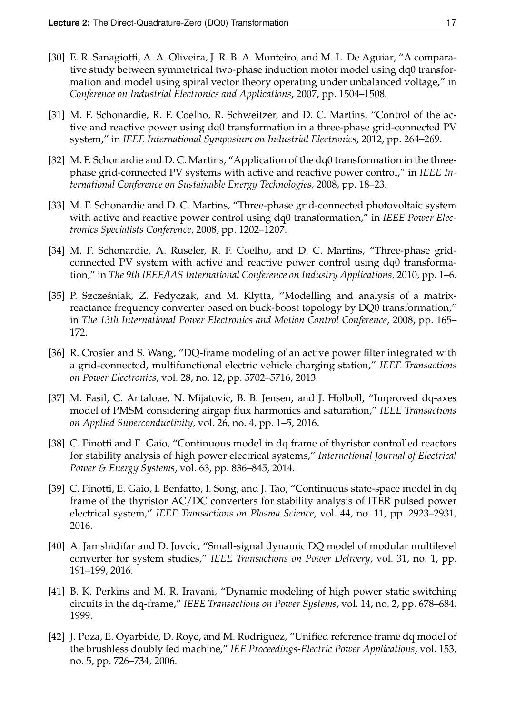- [30] E. R. Sanagiotti, A. A. Oliveira, J. R. B. A. Monteiro, and M. L. De Aguiar, "A comparative study between symmetrical two-phase induction motor model using dq0 transformation and model using spiral vector theory operating under unbalanced voltage," in *Conference on Industrial Electronics and Applications*, 2007, pp. 1504–1508.
- [31] M. F. Schonardie, R. F. Coelho, R. Schweitzer, and D. C. Martins, "Control of the active and reactive power using dq0 transformation in a three-phase grid-connected PV system," in *IEEE International Symposium on Industrial Electronics*, 2012, pp. 264–269.
- [32] M. F. Schonardie and D. C. Martins, "Application of the dq0 transformation in the threephase grid-connected PV systems with active and reactive power control," in *IEEE International Conference on Sustainable Energy Technologies*, 2008, pp. 18–23.
- [33] M. F. Schonardie and D. C. Martins, "Three-phase grid-connected photovoltaic system with active and reactive power control using dq0 transformation," in *IEEE Power Electronics Specialists Conference*, 2008, pp. 1202–1207.
- [34] M. F. Schonardie, A. Ruseler, R. F. Coelho, and D. C. Martins, "Three-phase gridconnected PV system with active and reactive power control using dq0 transformation," in *The 9th IEEE/IAS International Conference on Industry Applications*, 2010, pp. 1–6.
- [35] P. Szcześniak, Z. Fedyczak, and M. Klytta, "Modelling and analysis of a matrixreactance frequency converter based on buck-boost topology by DQ0 transformation," in *The 13th International Power Electronics and Motion Control Conference*, 2008, pp. 165– 172.
- [36] R. Crosier and S. Wang, "DQ-frame modeling of an active power filter integrated with a grid-connected, multifunctional electric vehicle charging station," *IEEE Transactions on Power Electronics*, vol. 28, no. 12, pp. 5702–5716, 2013.
- [37] M. Fasil, C. Antaloae, N. Mijatovic, B. B. Jensen, and J. Holboll, "Improved dq-axes model of PMSM considering airgap flux harmonics and saturation," *IEEE Transactions on Applied Superconductivity*, vol. 26, no. 4, pp. 1–5, 2016.
- [38] C. Finotti and E. Gaio, "Continuous model in dq frame of thyristor controlled reactors for stability analysis of high power electrical systems," *International Journal of Electrical Power & Energy Systems*, vol. 63, pp. 836–845, 2014.
- [39] C. Finotti, E. Gaio, I. Benfatto, I. Song, and J. Tao, "Continuous state-space model in dq frame of the thyristor AC/DC converters for stability analysis of ITER pulsed power electrical system," *IEEE Transactions on Plasma Science*, vol. 44, no. 11, pp. 2923–2931, 2016.
- [40] A. Jamshidifar and D. Jovcic, "Small-signal dynamic DQ model of modular multilevel converter for system studies," *IEEE Transactions on Power Delivery*, vol. 31, no. 1, pp. 191–199, 2016.
- [41] B. K. Perkins and M. R. Iravani, "Dynamic modeling of high power static switching circuits in the dq-frame," *IEEE Transactions on Power Systems*, vol. 14, no. 2, pp. 678–684, 1999.
- [42] J. Poza, E. Oyarbide, D. Roye, and M. Rodriguez, "Unified reference frame dq model of the brushless doubly fed machine," *IEE Proceedings-Electric Power Applications*, vol. 153, no. 5, pp. 726–734, 2006.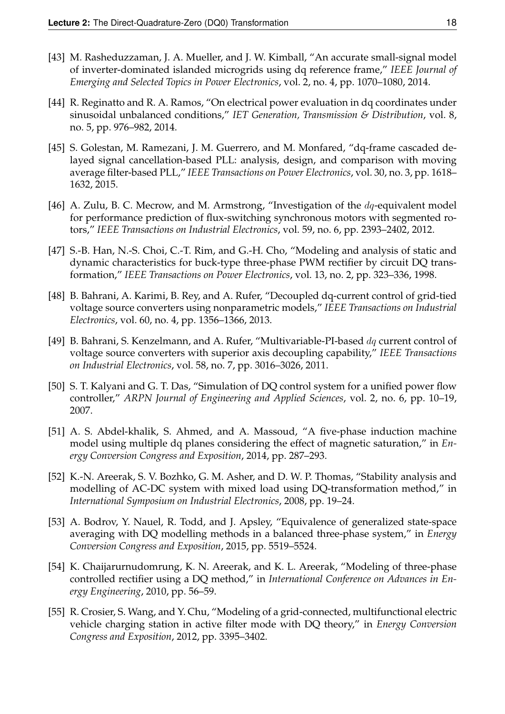- [43] M. Rasheduzzaman, J. A. Mueller, and J. W. Kimball, "An accurate small-signal model of inverter-dominated islanded microgrids using dq reference frame," *IEEE Journal of Emerging and Selected Topics in Power Electronics*, vol. 2, no. 4, pp. 1070–1080, 2014.
- [44] R. Reginatto and R. A. Ramos, "On electrical power evaluation in dq coordinates under sinusoidal unbalanced conditions," *IET Generation, Transmission & Distribution*, vol. 8, no. 5, pp. 976–982, 2014.
- [45] S. Golestan, M. Ramezani, J. M. Guerrero, and M. Monfared, "dq-frame cascaded delayed signal cancellation-based PLL: analysis, design, and comparison with moving average filter-based PLL," *IEEE Transactions on Power Electronics*, vol. 30, no. 3, pp. 1618– 1632, 2015.
- [46] A. Zulu, B. C. Mecrow, and M. Armstrong, "Investigation of the *dq*-equivalent model for performance prediction of flux-switching synchronous motors with segmented rotors," *IEEE Transactions on Industrial Electronics*, vol. 59, no. 6, pp. 2393–2402, 2012.
- [47] S.-B. Han, N.-S. Choi, C.-T. Rim, and G.-H. Cho, "Modeling and analysis of static and dynamic characteristics for buck-type three-phase PWM rectifier by circuit DQ transformation," *IEEE Transactions on Power Electronics*, vol. 13, no. 2, pp. 323–336, 1998.
- [48] B. Bahrani, A. Karimi, B. Rey, and A. Rufer, "Decoupled dq-current control of grid-tied voltage source converters using nonparametric models," *IEEE Transactions on Industrial Electronics*, vol. 60, no. 4, pp. 1356–1366, 2013.
- [49] B. Bahrani, S. Kenzelmann, and A. Rufer, "Multivariable-PI-based dq current control of voltage source converters with superior axis decoupling capability," *IEEE Transactions on Industrial Electronics*, vol. 58, no. 7, pp. 3016–3026, 2011.
- [50] S. T. Kalyani and G. T. Das, "Simulation of DQ control system for a unified power flow controller," *ARPN Journal of Engineering and Applied Sciences*, vol. 2, no. 6, pp. 10–19, 2007.
- [51] A. S. Abdel-khalik, S. Ahmed, and A. Massoud, "A five-phase induction machine model using multiple dq planes considering the effect of magnetic saturation," in *Energy Conversion Congress and Exposition*, 2014, pp. 287–293.
- [52] K.-N. Areerak, S. V. Bozhko, G. M. Asher, and D. W. P. Thomas, "Stability analysis and modelling of AC-DC system with mixed load using DQ-transformation method," in *International Symposium on Industrial Electronics*, 2008, pp. 19–24.
- [53] A. Bodrov, Y. Nauel, R. Todd, and J. Apsley, "Equivalence of generalized state-space averaging with DQ modelling methods in a balanced three-phase system," in *Energy Conversion Congress and Exposition*, 2015, pp. 5519–5524.
- [54] K. Chaijarurnudomrung, K. N. Areerak, and K. L. Areerak, "Modeling of three-phase controlled rectifier using a DQ method," in *International Conference on Advances in Energy Engineering*, 2010, pp. 56–59.
- [55] R. Crosier, S. Wang, and Y. Chu, "Modeling of a grid-connected, multifunctional electric vehicle charging station in active filter mode with DQ theory," in *Energy Conversion Congress and Exposition*, 2012, pp. 3395–3402.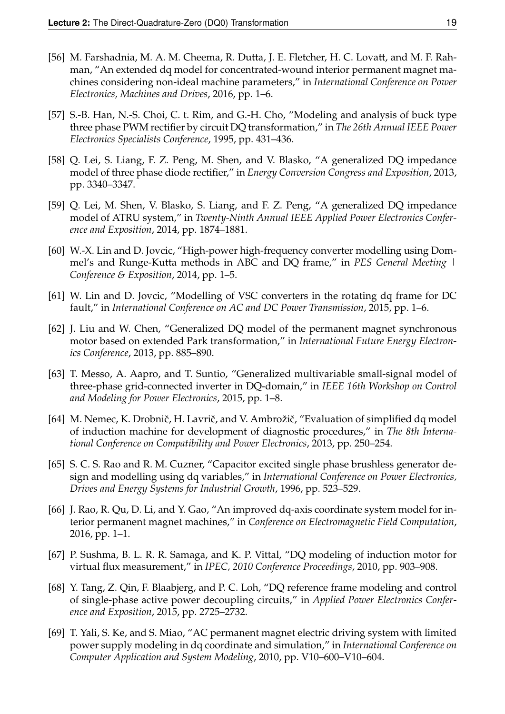- [56] M. Farshadnia, M. A. M. Cheema, R. Dutta, J. E. Fletcher, H. C. Lovatt, and M. F. Rahman, "An extended dq model for concentrated-wound interior permanent magnet machines considering non-ideal machine parameters," in *International Conference on Power Electronics, Machines and Drives*, 2016, pp. 1–6.
- [57] S.-B. Han, N.-S. Choi, C. t. Rim, and G.-H. Cho, "Modeling and analysis of buck type three phase PWM rectifier by circuit DQ transformation," in *The 26th Annual IEEE Power Electronics Specialists Conference*, 1995, pp. 431–436.
- [58] Q. Lei, S. Liang, F. Z. Peng, M. Shen, and V. Blasko, "A generalized DQ impedance model of three phase diode rectifier," in *Energy Conversion Congress and Exposition*, 2013, pp. 3340–3347.
- [59] Q. Lei, M. Shen, V. Blasko, S. Liang, and F. Z. Peng, "A generalized DQ impedance model of ATRU system," in *Twenty-Ninth Annual IEEE Applied Power Electronics Conference and Exposition*, 2014, pp. 1874–1881.
- [60] W.-X. Lin and D. Jovcic, "High-power high-frequency converter modelling using Dommel's and Runge-Kutta methods in ABC and DQ frame," in *PES General Meeting | Conference & Exposition*, 2014, pp. 1–5.
- [61] W. Lin and D. Jovcic, "Modelling of VSC converters in the rotating dq frame for DC fault," in *International Conference on AC and DC Power Transmission*, 2015, pp. 1–6.
- [62] J. Liu and W. Chen, "Generalized DQ model of the permanent magnet synchronous motor based on extended Park transformation," in *International Future Energy Electronics Conference*, 2013, pp. 885–890.
- [63] T. Messo, A. Aapro, and T. Suntio, "Generalized multivariable small-signal model of three-phase grid-connected inverter in DQ-domain," in *IEEE 16th Workshop on Control and Modeling for Power Electronics*, 2015, pp. 1–8.
- [64] M. Nemec, K. Drobnič, H. Lavrič, and V. Ambrožič, "Evaluation of simplified dq model of induction machine for development of diagnostic procedures," in *The 8th International Conference on Compatibility and Power Electronics*, 2013, pp. 250–254.
- [65] S. C. S. Rao and R. M. Cuzner, "Capacitor excited single phase brushless generator design and modelling using dq variables," in *International Conference on Power Electronics, Drives and Energy Systems for Industrial Growth*, 1996, pp. 523–529.
- [66] J. Rao, R. Qu, D. Li, and Y. Gao, "An improved dq-axis coordinate system model for interior permanent magnet machines," in *Conference on Electromagnetic Field Computation*, 2016, pp. 1–1.
- [67] P. Sushma, B. L. R. R. Samaga, and K. P. Vittal, "DQ modeling of induction motor for virtual flux measurement," in *IPEC, 2010 Conference Proceedings*, 2010, pp. 903–908.
- [68] Y. Tang, Z. Qin, F. Blaabjerg, and P. C. Loh, "DQ reference frame modeling and control of single-phase active power decoupling circuits," in *Applied Power Electronics Conference and Exposition*, 2015, pp. 2725–2732.
- [69] T. Yali, S. Ke, and S. Miao, "AC permanent magnet electric driving system with limited power supply modeling in dq coordinate and simulation," in *International Conference on Computer Application and System Modeling*, 2010, pp. V10–600–V10–604.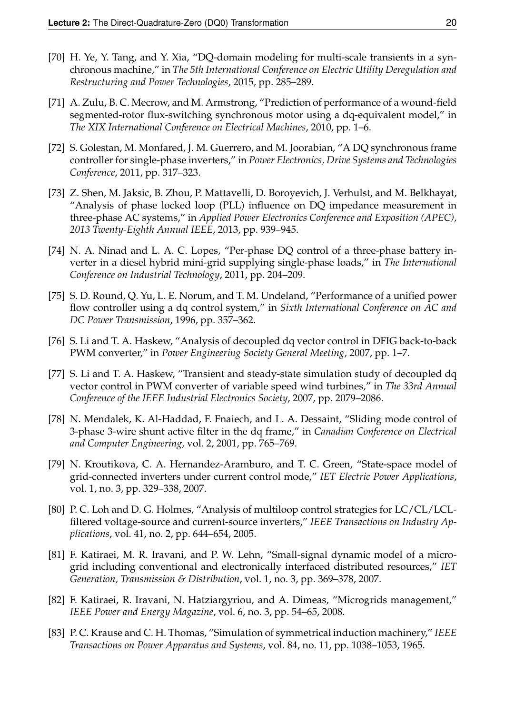- [70] H. Ye, Y. Tang, and Y. Xia, "DQ-domain modeling for multi-scale transients in a synchronous machine," in *The 5th International Conference on Electric Utility Deregulation and Restructuring and Power Technologies*, 2015, pp. 285–289.
- [71] A. Zulu, B. C. Mecrow, and M. Armstrong, "Prediction of performance of a wound-field segmented-rotor flux-switching synchronous motor using a dq-equivalent model," in *The XIX International Conference on Electrical Machines*, 2010, pp. 1–6.
- [72] S. Golestan, M. Monfared, J. M. Guerrero, and M. Joorabian, "A DQ synchronous frame controller for single-phase inverters," in *Power Electronics, Drive Systems and Technologies Conference*, 2011, pp. 317–323.
- [73] Z. Shen, M. Jaksic, B. Zhou, P. Mattavelli, D. Boroyevich, J. Verhulst, and M. Belkhayat, "Analysis of phase locked loop (PLL) influence on DQ impedance measurement in three-phase AC systems," in *Applied Power Electronics Conference and Exposition (APEC), 2013 Twenty-Eighth Annual IEEE*, 2013, pp. 939–945.
- [74] N. A. Ninad and L. A. C. Lopes, "Per-phase DQ control of a three-phase battery inverter in a diesel hybrid mini-grid supplying single-phase loads," in *The International Conference on Industrial Technology*, 2011, pp. 204–209.
- [75] S. D. Round, Q. Yu, L. E. Norum, and T. M. Undeland, "Performance of a unified power flow controller using a dq control system," in *Sixth International Conference on AC and DC Power Transmission*, 1996, pp. 357–362.
- [76] S. Li and T. A. Haskew, "Analysis of decoupled dq vector control in DFIG back-to-back PWM converter," in *Power Engineering Society General Meeting*, 2007, pp. 1–7.
- [77] S. Li and T. A. Haskew, "Transient and steady-state simulation study of decoupled dq vector control in PWM converter of variable speed wind turbines," in *The 33rd Annual Conference of the IEEE Industrial Electronics Society*, 2007, pp. 2079–2086.
- [78] N. Mendalek, K. Al-Haddad, F. Fnaiech, and L. A. Dessaint, "Sliding mode control of 3-phase 3-wire shunt active filter in the dq frame," in *Canadian Conference on Electrical and Computer Engineering*, vol. 2, 2001, pp. 765–769.
- [79] N. Kroutikova, C. A. Hernandez-Aramburo, and T. C. Green, "State-space model of grid-connected inverters under current control mode," *IET Electric Power Applications*, vol. 1, no. 3, pp. 329–338, 2007.
- [80] P. C. Loh and D. G. Holmes, "Analysis of multiloop control strategies for LC/CL/LCLfiltered voltage-source and current-source inverters," *IEEE Transactions on Industry Applications*, vol. 41, no. 2, pp. 644–654, 2005.
- [81] F. Katiraei, M. R. Iravani, and P. W. Lehn, "Small-signal dynamic model of a microgrid including conventional and electronically interfaced distributed resources," *IET Generation, Transmission & Distribution*, vol. 1, no. 3, pp. 369–378, 2007.
- [82] F. Katiraei, R. Iravani, N. Hatziargyriou, and A. Dimeas, "Microgrids management," *IEEE Power and Energy Magazine*, vol. 6, no. 3, pp. 54–65, 2008.
- [83] P. C. Krause and C. H. Thomas, "Simulation of symmetrical induction machinery," *IEEE Transactions on Power Apparatus and Systems*, vol. 84, no. 11, pp. 1038–1053, 1965.